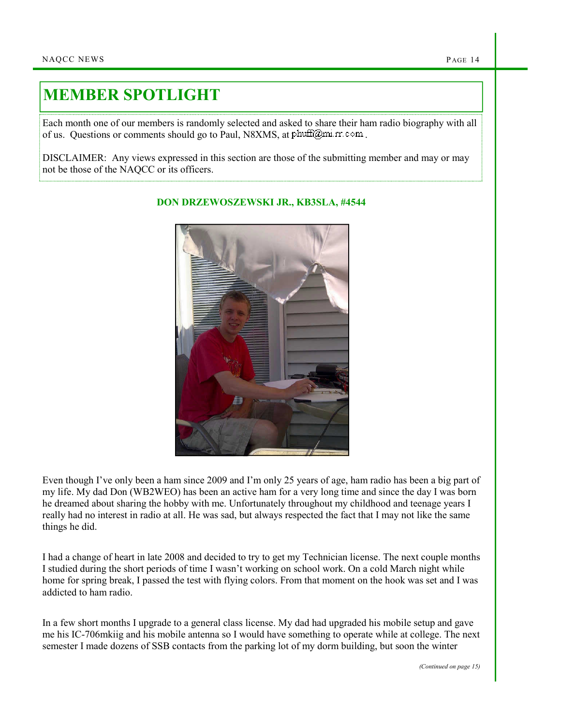## MEMBER SPOTLIGHT

Each month one of our members is randomly selected and asked to share their ham radio biography with all of us. Questions or comments should go to Paul, N8XMS, at  $phuff@mi$  rr.com.

DISCLAIMER: Any views expressed in this section are those of the submitting member and may or may not be those of the NAQCC or its officers.



## DON DRZEWOSZEWSKI JR., KB3SLA, #4544

Even though I've only been a ham since 2009 and I'm only 25 years of age, ham radio has been a big part of my life. My dad Don (WB2WEO) has been an active ham for a very long time and since the day I was born he dreamed about sharing the hobby with me. Unfortunately throughout my childhood and teenage years I really had no interest in radio at all. He was sad, but always respected the fact that I may not like the same things he did.

I had a change of heart in late 2008 and decided to try to get my Technician license. The next couple months I studied during the short periods of time I wasn't working on school work. On a cold March night while home for spring break, I passed the test with flying colors. From that moment on the hook was set and I was addicted to ham radio.

In a few short months I upgrade to a general class license. My dad had upgraded his mobile setup and gave me his IC-706mkiig and his mobile antenna so I would have something to operate while at college. The next semester I made dozens of SSB contacts from the parking lot of my dorm building, but soon the winter